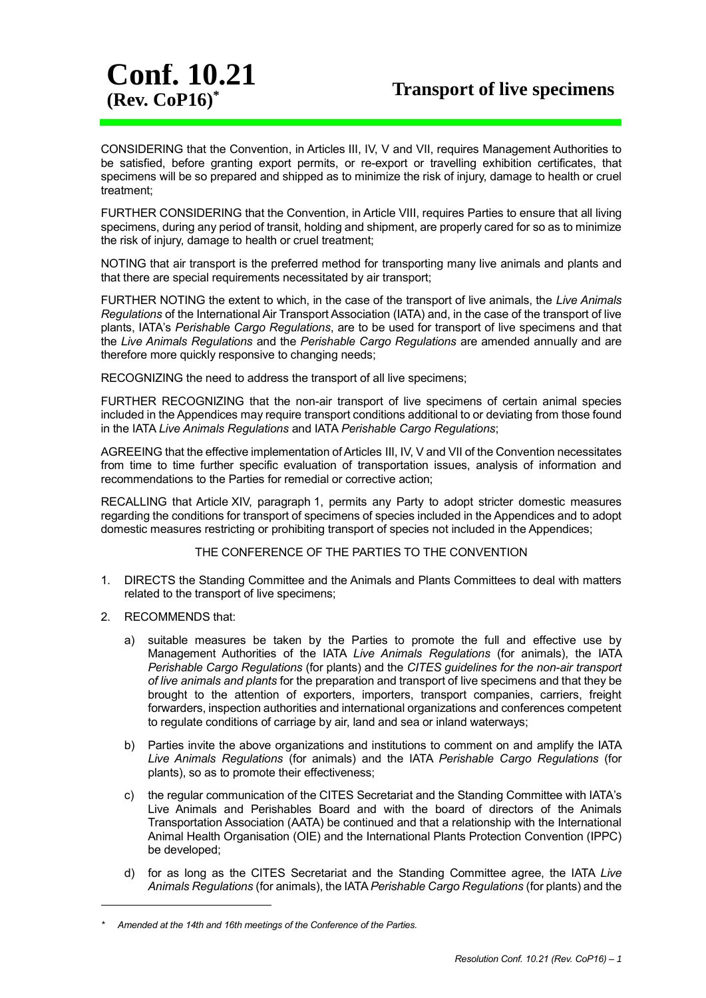CONSIDERING that the Convention, in Articles III, IV, V and VII, requires Management Authorities to be satisfied, before granting export permits, or re-export or travelling exhibition certificates, that specimens will be so prepared and shipped as to minimize the risk of injury, damage to health or cruel treatment;

FURTHER CONSIDERING that the Convention, in Article VIII, requires Parties to ensure that all living specimens, during any period of transit, holding and shipment, are properly cared for so as to minimize the risk of injury, damage to health or cruel treatment;

NOTING that air transport is the preferred method for transporting many live animals and plants and that there are special requirements necessitated by air transport;

FURTHER NOTING the extent to which, in the case of the transport of live animals, the *Live Animals Regulations* of the International Air Transport Association (IATA) and, in the case of the transport of live plants, IATA's *Perishable Cargo Regulations*, are to be used for transport of live specimens and that the *Live Animals Regulations* and the *Perishable Cargo Regulations* are amended annually and are therefore more quickly responsive to changing needs;

RECOGNIZING the need to address the transport of all live specimens;

FURTHER RECOGNIZING that the non-air transport of live specimens of certain animal species included in the Appendices may require transport conditions additional to or deviating from those found in the IATA *Live Animals Regulations* and IATA *Perishable Cargo Regulations*;

AGREEING that the effective implementation of Articles III, IV, V and VII of the Convention necessitates from time to time further specific evaluation of transportation issues, analysis of information and recommendations to the Parties for remedial or corrective action;

RECALLING that Article XIV, paragraph 1, permits any Party to adopt stricter domestic measures regarding the conditions for transport of specimens of species included in the Appendices and to adopt domestic measures restricting or prohibiting transport of species not included in the Appendices;

## THE CONFERENCE OF THE PARTIES TO THE CONVENTION

- 1. DIRECTS the Standing Committee and the Animals and Plants Committees to deal with matters related to the transport of live specimens;
- 2. RECOMMENDS that:

Conf. 10.21

-

- a) suitable measures be taken by the Parties to promote the full and effective use by Management Authorities of the IATA *Live Animals Regulations* (for animals), the IATA *Perishable Cargo Regulations* (for plants) and the *CITES guidelines for the non-air transport of live animals and plants* for the preparation and transport of live specimens and that they be brought to the attention of exporters, importers, transport companies, carriers, freight forwarders, inspection authorities and international organizations and conferences competent to regulate conditions of carriage by air, land and sea or inland waterways;
- b) Parties invite the above organizations and institutions to comment on and amplify the IATA *Live Animals Regulations* (for animals) and the IATA *Perishable Cargo Regulations* (for plants), so as to promote their effectiveness;
- c) the regular communication of the CITES Secretariat and the Standing Committee with IATA's Live Animals and Perishables Board and with the board of directors of the Animals Transportation Association (AATA) be continued and that a relationship with the International Animal Health Organisation (OIE) and the International Plants Protection Convention (IPPC) be developed;
- d) for as long as the CITES Secretariat and the Standing Committee agree, the IATA *Live Animals Regulations* (for animals), the IATA *Perishable Cargo Regulations* (for plants) and the

*<sup>\*</sup> Amended at the 14th and 16th meetings of the Conference of the Parties.*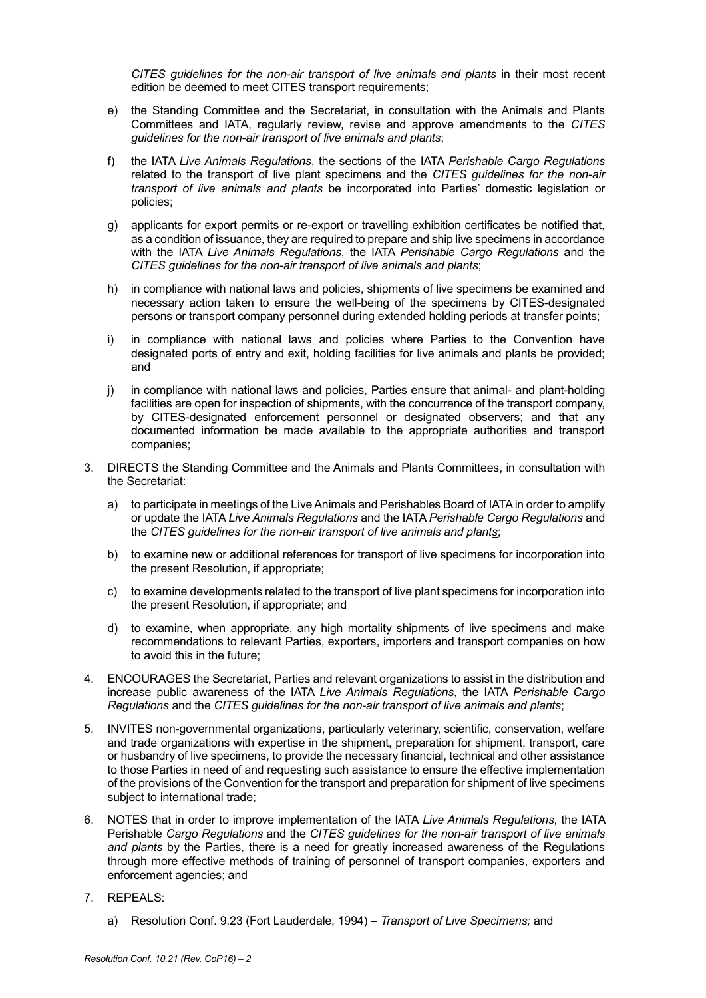*CITES guidelines for the non-air transport of live animals and plants* in their most recent edition be deemed to meet CITES transport requirements;

- e) the Standing Committee and the Secretariat, in consultation with the Animals and Plants Committees and IATA, regularly review, revise and approve amendments to the *CITES guidelines for the non-air transport of live animals and plants*;
- f) the IATA *Live Animals Regulations*, the sections of the IATA *Perishable Cargo Regulations* related to the transport of live plant specimens and the *CITES guidelines for the non-air transport of live animals and plants* be incorporated into Parties' domestic legislation or policies;
- g) applicants for export permits or re-export or travelling exhibition certificates be notified that, as a condition of issuance, they are required to prepare and ship live specimens in accordance with the IATA *Live Animals Regulations*, the IATA *Perishable Cargo Regulations* and the *CITES guidelines for the non-air transport of live animals and plants*;
- h) in compliance with national laws and policies, shipments of live specimens be examined and necessary action taken to ensure the well-being of the specimens by CITES-designated persons or transport company personnel during extended holding periods at transfer points;
- i) in compliance with national laws and policies where Parties to the Convention have designated ports of entry and exit, holding facilities for live animals and plants be provided; and
- j) in compliance with national laws and policies, Parties ensure that animal- and plant-holding facilities are open for inspection of shipments, with the concurrence of the transport company, by CITES-designated enforcement personnel or designated observers; and that any documented information be made available to the appropriate authorities and transport companies;
- 3. DIRECTS the Standing Committee and the Animals and Plants Committees, in consultation with the Secretariat:
	- a) to participate in meetings of the Live Animals and Perishables Board of IATA in order to amplify or update the IATA *Live Animals Regulations* and the IATA *Perishable Cargo Regulations* and the *CITES guidelines for the non-air transport of live animals and plants*;
	- b) to examine new or additional references for transport of live specimens for incorporation into the present Resolution, if appropriate;
	- c) to examine developments related to the transport of live plant specimens for incorporation into the present Resolution, if appropriate; and
	- d) to examine, when appropriate, any high mortality shipments of live specimens and make recommendations to relevant Parties, exporters, importers and transport companies on how to avoid this in the future;
- 4. ENCOURAGES the Secretariat, Parties and relevant organizations to assist in the distribution and increase public awareness of the IATA *Live Animals Regulations*, the IATA *Perishable Cargo Regulations* and the *CITES guidelines for the non-air transport of live animals and plants*;
- 5. INVITES non-governmental organizations, particularly veterinary, scientific, conservation, welfare and trade organizations with expertise in the shipment, preparation for shipment, transport, care or husbandry of live specimens, to provide the necessary financial, technical and other assistance to those Parties in need of and requesting such assistance to ensure the effective implementation of the provisions of the Convention for the transport and preparation for shipment of live specimens subject to international trade;
- 6. NOTES that in order to improve implementation of the IATA *Live Animals Regulations*, the IATA Perishable *Cargo Regulations* and the *CITES guidelines for the non-air transport of live animals and plants* by the Parties, there is a need for greatly increased awareness of the Regulations through more effective methods of training of personnel of transport companies, exporters and enforcement agencies; and
- 7. REPEALS:
	- a) Resolution Conf. 9.23 (Fort Lauderdale, 1994) *Transport of Live Specimens;* and